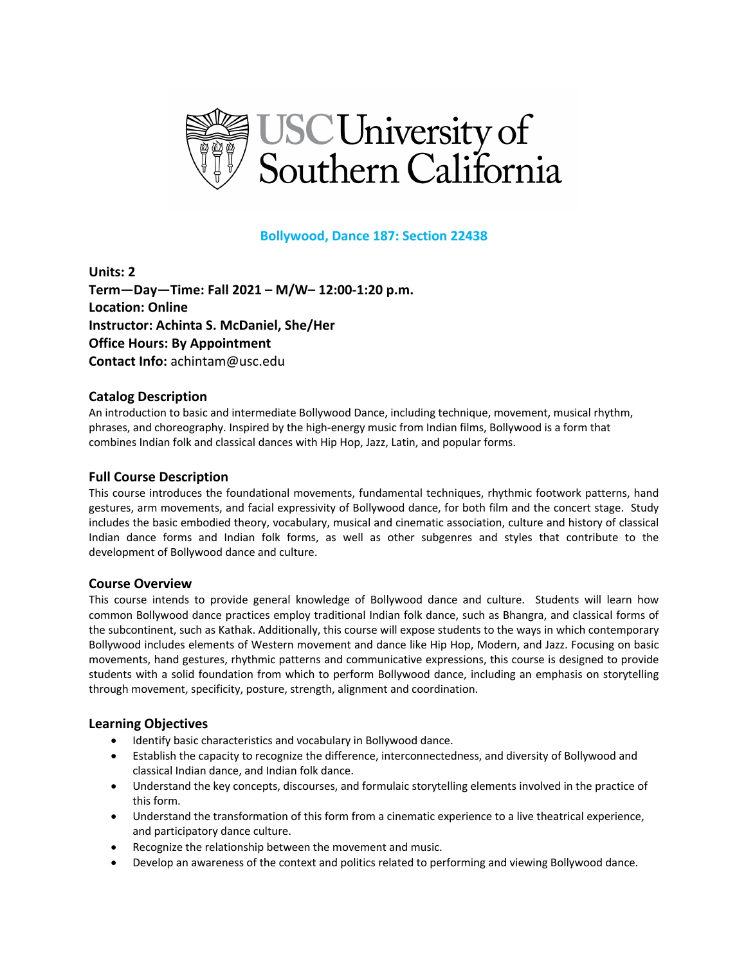

### **Bollywood, Dance 187: Section 22438**

**Units: 2 Term—Day—Time: Fall 2021 – M/W– 12:00-1:20 p.m. Location: Online Instructor: Achinta S. McDaniel, She/Her Office Hours: By Appointment Contact Info:** achintam@usc.edu

#### **Catalog Description**

An introduction to basic and intermediate Bollywood Dance, including technique, movement, musical rhythm, phrases, and choreography. Inspired by the high-energy music from Indian films, Bollywood is a form that combines Indian folk and classical dances with Hip Hop, Jazz, Latin, and popular forms.

#### **Full Course Description**

This course introduces the foundational movements, fundamental techniques, rhythmic footwork patterns, hand gestures, arm movements, and facial expressivity of Bollywood dance, for both film and the concert stage. Study includes the basic embodied theory, vocabulary, musical and cinematic association, culture and history of classical Indian dance forms and Indian folk forms, as well as other subgenres and styles that contribute to the development of Bollywood dance and culture.

#### **Course Overview**

This course intends to provide general knowledge of Bollywood dance and culture. Students will learn how common Bollywood dance practices employ traditional Indian folk dance, such as Bhangra, and classical forms of the subcontinent, such as Kathak. Additionally, this course will expose students to the ways in which contemporary Bollywood includes elements of Western movement and dance like Hip Hop, Modern, and Jazz. Focusing on basic movements, hand gestures, rhythmic patterns and communicative expressions, this course is designed to provide students with a solid foundation from which to perform Bollywood dance, including an emphasis on storytelling through movement, specificity, posture, strength, alignment and coordination.

### **Learning Objectives**

- Identify basic characteristics and vocabulary in Bollywood dance.
- Establish the capacity to recognize the difference, interconnectedness, and diversity of Bollywood and classical Indian dance, and Indian folk dance.
- Understand the key concepts, discourses, and formulaic storytelling elements involved in the practice of this form.
- Understand the transformation of this form from a cinematic experience to a live theatrical experience, and participatory dance culture.
- Recognize the relationship between the movement and music.
- Develop an awareness of the context and politics related to performing and viewing Bollywood dance.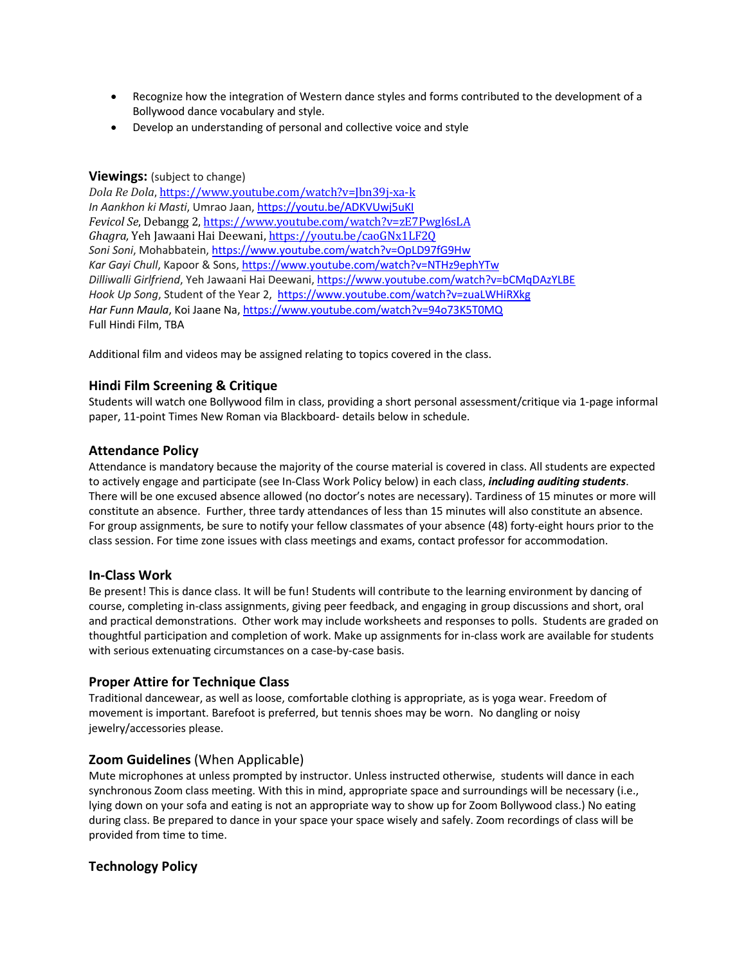- Recognize how the integration of Western dance styles and forms contributed to the development of a Bollywood dance vocabulary and style.
- Develop an understanding of personal and collective voice and style

### **Viewings:** (subject to change)

*Dola Re Dola*, https://www.youtube.com/watch?v=Jbn39j-xa-k *In Aankhon ki Masti*, Umrao Jaan, https://youtu.be/ADKVUwj5uKI *Fevicol Se*, Debangg 2, https://www.youtube.com/watch?v=zE7Pwgl6sLA Ghagra, Yeh Jawaani Hai Deewani, https://youtu.be/caoGNx1LF2Q *Soni Soni*, Mohabbatein, https://www.youtube.com/watch?v=OpLD97fG9Hw *Kar Gayi Chull*, Kapoor & Sons, https://www.youtube.com/watch?v=NTHz9ephYTw *Dilliwalli Girlfriend*, Yeh Jawaani Hai Deewani, https://www.youtube.com/watch?v=bCMqDAzYLBE *Hook Up Song*, Student of the Year 2, https://www.youtube.com/watch?v=zuaLWHiRXkg *Har Funn Maula*, Koi Jaane Na, https://www.youtube.com/watch?v=94o73K5T0MQ Full Hindi Film, TBA

Additional film and videos may be assigned relating to topics covered in the class.

# **Hindi Film Screening & Critique**

Students will watch one Bollywood film in class, providing a short personal assessment/critique via 1-page informal paper, 11-point Times New Roman via Blackboard- details below in schedule.

### **Attendance Policy**

Attendance is mandatory because the majority of the course material is covered in class. All students are expected to actively engage and participate (see In-Class Work Policy below) in each class, *including auditing students*. There will be one excused absence allowed (no doctor's notes are necessary). Tardiness of 15 minutes or more will constitute an absence. Further, three tardy attendances of less than 15 minutes will also constitute an absence. For group assignments, be sure to notify your fellow classmates of your absence (48) forty-eight hours prior to the class session. For time zone issues with class meetings and exams, contact professor for accommodation.

### **In-Class Work**

Be present! This is dance class. It will be fun! Students will contribute to the learning environment by dancing of course, completing in-class assignments, giving peer feedback, and engaging in group discussions and short, oral and practical demonstrations. Other work may include worksheets and responses to polls. Students are graded on thoughtful participation and completion of work. Make up assignments for in-class work are available for students with serious extenuating circumstances on a case-by-case basis.

### **Proper Attire for Technique Class**

Traditional dancewear, as well as loose, comfortable clothing is appropriate, as is yoga wear. Freedom of movement is important. Barefoot is preferred, but tennis shoes may be worn. No dangling or noisy jewelry/accessories please.

### **Zoom Guidelines** (When Applicable)

Mute microphones at unless prompted by instructor. Unless instructed otherwise, students will dance in each synchronous Zoom class meeting. With this in mind, appropriate space and surroundings will be necessary (i.e., lying down on your sofa and eating is not an appropriate way to show up for Zoom Bollywood class.) No eating during class. Be prepared to dance in your space your space wisely and safely. Zoom recordings of class will be provided from time to time.

# **Technology Policy**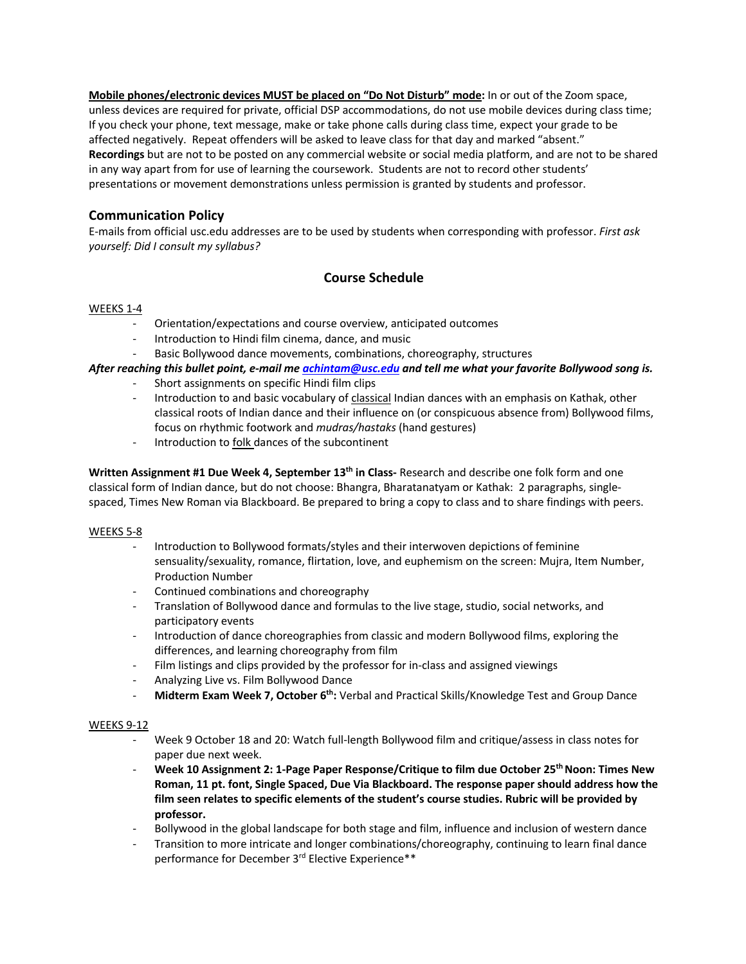**Mobile phones/electronic devices MUST be placed on "Do Not Disturb" mode:** In or out of the Zoom space, unless devices are required for private, official DSP accommodations, do not use mobile devices during class time; If you check your phone, text message, make or take phone calls during class time, expect your grade to be affected negatively. Repeat offenders will be asked to leave class for that day and marked "absent." **Recordings** but are not to be posted on any commercial website or social media platform, and are not to be shared in any way apart from for use of learning the coursework. Students are not to record other students' presentations or movement demonstrations unless permission is granted by students and professor.

# **Communication Policy**

E-mails from official usc.edu addresses are to be used by students when corresponding with professor. *First ask yourself: Did I consult my syllabus?*

# **Course Schedule**

#### WEEKS 1-4

- Orientation/expectations and course overview, anticipated outcomes
- Introduction to Hindi film cinema, dance, and music
- Basic Bollywood dance movements, combinations, choreography, structures

### *After reaching this bullet point, e-mail me achintam@usc.edu and tell me what your favorite Bollywood song is.*

- Short assignments on specific Hindi film clips
- Introduction to and basic vocabulary of classical Indian dances with an emphasis on Kathak, other classical roots of Indian dance and their influence on (or conspicuous absence from) Bollywood films, focus on rhythmic footwork and *mudras/hastaks* (hand gestures)
- Introduction to folk dances of the subcontinent

**Written Assignment #1 Due Week 4, September 13th in Class-** Research and describe one folk form and one classical form of Indian dance, but do not choose: Bhangra, Bharatanatyam or Kathak: 2 paragraphs, singlespaced, Times New Roman via Blackboard. Be prepared to bring a copy to class and to share findings with peers.

#### WEEKS 5-8

- Introduction to Bollywood formats/styles and their interwoven depictions of feminine sensuality/sexuality, romance, flirtation, love, and euphemism on the screen: Mujra, Item Number, Production Number
- Continued combinations and choreography
- Translation of Bollywood dance and formulas to the live stage, studio, social networks, and participatory events
- Introduction of dance choreographies from classic and modern Bollywood films, exploring the differences, and learning choreography from film
- Film listings and clips provided by the professor for in-class and assigned viewings
- Analyzing Live vs. Film Bollywood Dance
- **Midterm Exam Week 7, October 6th:** Verbal and Practical Skills/Knowledge Test and Group Dance

#### WEEKS 9-12

- Week 9 October 18 and 20: Watch full-length Bollywood film and critique/assess in class notes for paper due next week.
- **Week 10 Assignment 2: 1-Page Paper Response/Critique to film due October 25th Noon: Times New Roman, 11 pt. font, Single Spaced, Due Via Blackboard. The response paper should address how the film seen relates to specific elements of the student's course studies. Rubric will be provided by professor.**
- Bollywood in the global landscape for both stage and film, influence and inclusion of western dance
- Transition to more intricate and longer combinations/choreography, continuing to learn final dance performance for December 3rd Elective Experience\*\*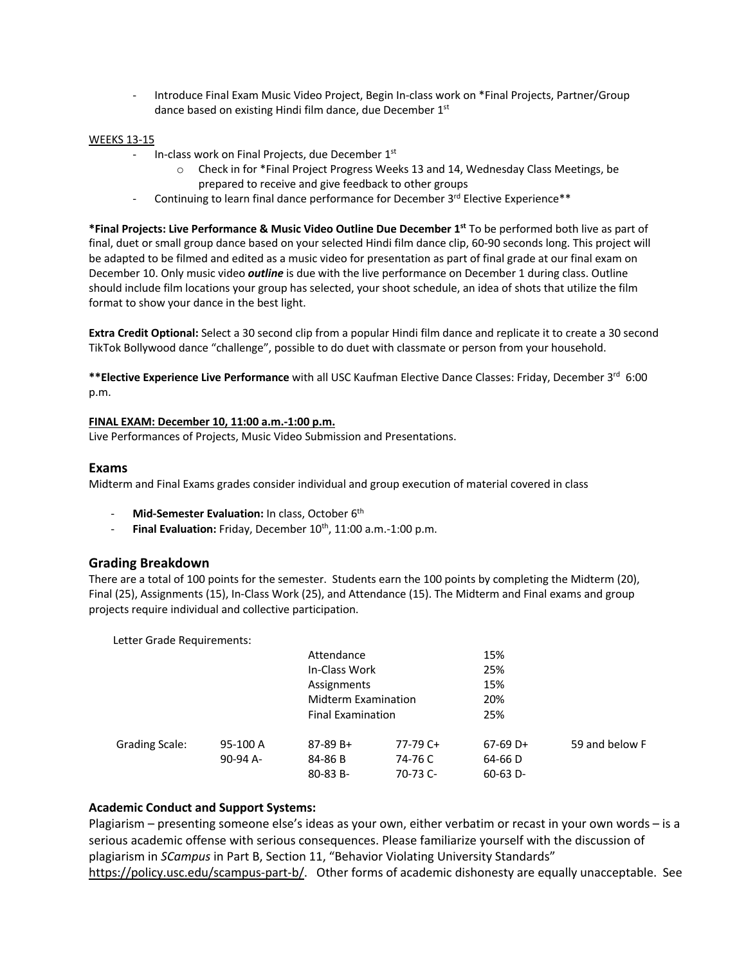- Introduce Final Exam Music Video Project, Begin In-class work on \*Final Projects, Partner/Group dance based on existing Hindi film dance, due December 1st

#### WEEKS 13-15

- In-class work on Final Projects, due December 1st
	- o Check in for \*Final Project Progress Weeks 13 and 14, Wednesday Class Meetings, be prepared to receive and give feedback to other groups
- Continuing to learn final dance performance for December  $3^{rd}$  Elective Experience\*\*

**\*Final Projects: Live Performance & Music Video Outline Due December 1st** To be performed both live as part of final, duet or small group dance based on your selected Hindi film dance clip, 60-90 seconds long. This project will be adapted to be filmed and edited as a music video for presentation as part of final grade at our final exam on December 10. Only music video *outline* is due with the live performance on December 1 during class. Outline should include film locations your group has selected, your shoot schedule, an idea of shots that utilize the film format to show your dance in the best light.

**Extra Credit Optional:** Select a 30 second clip from a popular Hindi film dance and replicate it to create a 30 second TikTok Bollywood dance "challenge", possible to do duet with classmate or person from your household.

**\*\*Elective Experience Live Performance** with all USC Kaufman Elective Dance Classes: Friday, December 3rd 6:00 p.m.

#### **FINAL EXAM: December 10, 11:00 a.m.-1:00 p.m.**

Live Performances of Projects, Music Video Submission and Presentations.

#### **Exams**

Midterm and Final Exams grades consider individual and group execution of material covered in class

- Mid-Semester Evaluation: In class, October 6<sup>th</sup>
- **Final Evaluation:** Friday, December 10th, 11:00 a.m.-1:00 p.m.

#### **Grading Breakdown**

There are a total of 100 points for the semester. Students earn the 100 points by completing the Midterm (20), Final (25), Assignments (15), In-Class Work (25), and Attendance (15). The Midterm and Final exams and group projects require individual and collective participation.

Letter Grade Requirements:

|                       |          | Attendance                 |          | 15%        |                |
|-----------------------|----------|----------------------------|----------|------------|----------------|
|                       |          | In-Class Work              |          | 25%        |                |
|                       |          | Assignments                |          | 15%        |                |
|                       |          | <b>Midterm Examination</b> |          | 20%        |                |
|                       |          | <b>Final Examination</b>   |          | 25%        |                |
| <b>Grading Scale:</b> | 95-100 A | $87-89B+$                  | 77-79 C+ | $67-69$ D+ | 59 and below F |
|                       | 90-94 A- | 84-86 B                    | 74-76 C  | 64-66 D    |                |
|                       |          | $80-83 B -$                | 70-73 C- | $60-63$ D- |                |
|                       |          |                            |          |            |                |

### **Academic Conduct and Support Systems:**

Plagiarism – presenting someone else's ideas as your own, either verbatim or recast in your own words – is a serious academic offense with serious consequences. Please familiarize yourself with the discussion of plagiarism in *SCampus* in Part B, Section 11, "Behavior Violating University Standards" https://policy.usc.edu/scampus-part-b/. Other forms of academic dishonesty are equally unacceptable. See